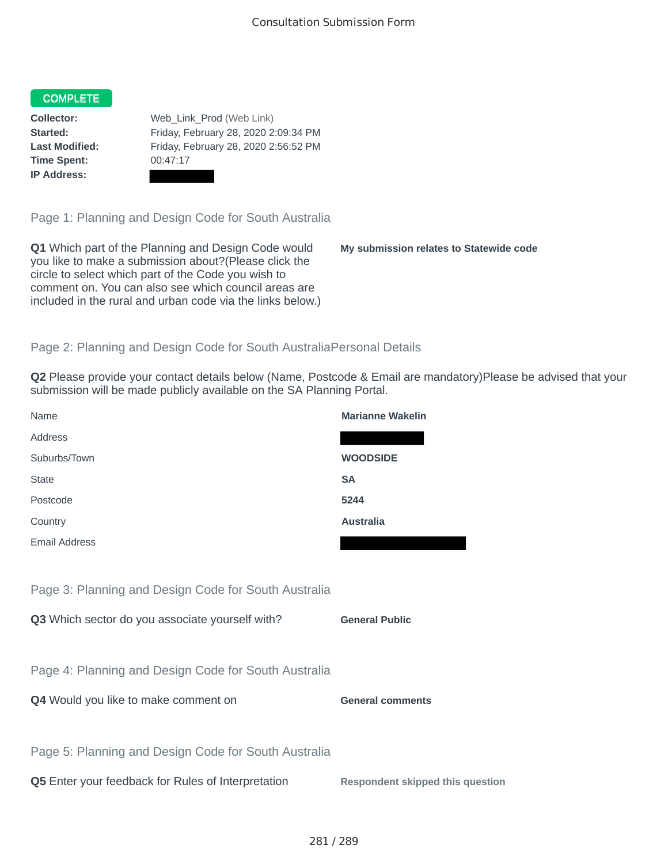## COMPLETE

**Time Spent:** 00:47:17 **IP Address:**

**Collector:** Web\_Link\_Prod (Web Link) **Started:** Friday, February 28, 2020 2:09:34 PM **Last Modified:** Friday, February 28, 2020 2:56:52 PM

Page 1: Planning and Design Code for South Australia

**Q1** Which part of the Planning and Design Code would you like to make a submission about?(Please click the circle to select which part of the Code you wish to comment on. You can also see which council areas are included in the rural and urban code via the links below.)

**My submission relates to Statewide code**

## Page 2: Planning and Design Code for South AustraliaPersonal Details

**Q2** Please provide your contact details below (Name, Postcode & Email are mandatory)Please be advised that your submission will be made publicly available on the SA Planning Portal.

| Name                                                 | <b>Marianne Wakelin</b>                 |
|------------------------------------------------------|-----------------------------------------|
| Address                                              |                                         |
| Suburbs/Town                                         | <b>WOODSIDE</b>                         |
| <b>State</b>                                         | <b>SA</b>                               |
| Postcode                                             | 5244                                    |
| Country                                              | <b>Australia</b>                        |
| <b>Email Address</b>                                 |                                         |
|                                                      |                                         |
| Page 3: Planning and Design Code for South Australia |                                         |
| Q3 Which sector do you associate yourself with?      | <b>General Public</b>                   |
|                                                      |                                         |
| Page 4: Planning and Design Code for South Australia |                                         |
| Q4 Would you like to make comment on                 | <b>General comments</b>                 |
|                                                      |                                         |
| Page 5: Planning and Design Code for South Australia |                                         |
| Q5 Enter your feedback for Rules of Interpretation   | <b>Respondent skipped this question</b> |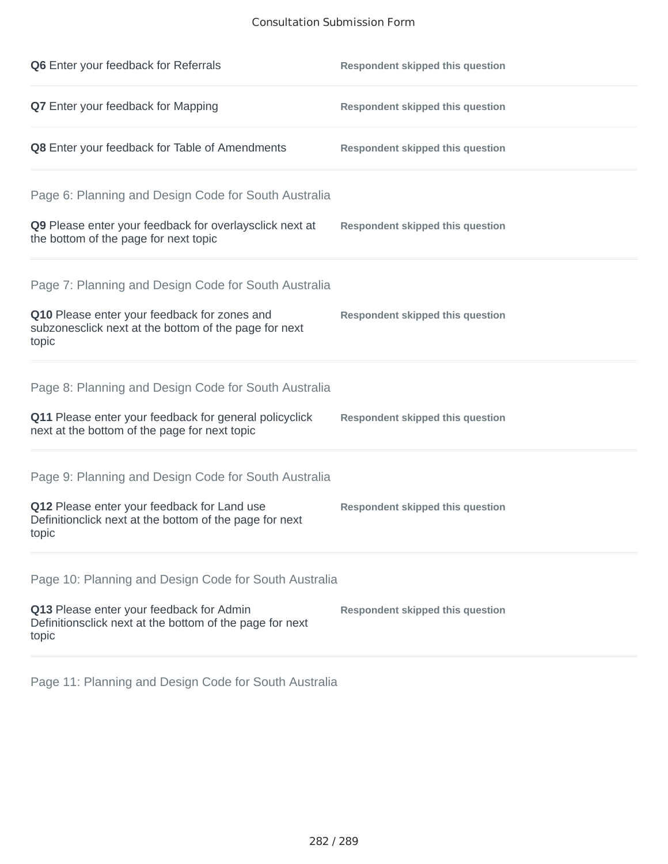## Consultation Submission Form

| Q6 Enter your feedback for Referrals                                                                            | <b>Respondent skipped this question</b> |
|-----------------------------------------------------------------------------------------------------------------|-----------------------------------------|
| Q7 Enter your feedback for Mapping                                                                              | <b>Respondent skipped this question</b> |
| Q8 Enter your feedback for Table of Amendments                                                                  | <b>Respondent skipped this question</b> |
| Page 6: Planning and Design Code for South Australia                                                            |                                         |
| Q9 Please enter your feedback for overlaysclick next at<br>the bottom of the page for next topic                | <b>Respondent skipped this question</b> |
| Page 7: Planning and Design Code for South Australia                                                            |                                         |
| Q10 Please enter your feedback for zones and<br>subzonesclick next at the bottom of the page for next<br>topic  | <b>Respondent skipped this question</b> |
| Page 8: Planning and Design Code for South Australia                                                            |                                         |
| Q11 Please enter your feedback for general policyclick<br>next at the bottom of the page for next topic         | <b>Respondent skipped this question</b> |
| Page 9: Planning and Design Code for South Australia                                                            |                                         |
| Q12 Please enter your feedback for Land use<br>Definitionclick next at the bottom of the page for next<br>topic | <b>Respondent skipped this question</b> |
| Page 10: Planning and Design Code for South Australia                                                           |                                         |
| Q13 Please enter your feedback for Admin<br>Definitionsclick next at the bottom of the page for next<br>topic   | <b>Respondent skipped this question</b> |

Page 11: Planning and Design Code for South Australia